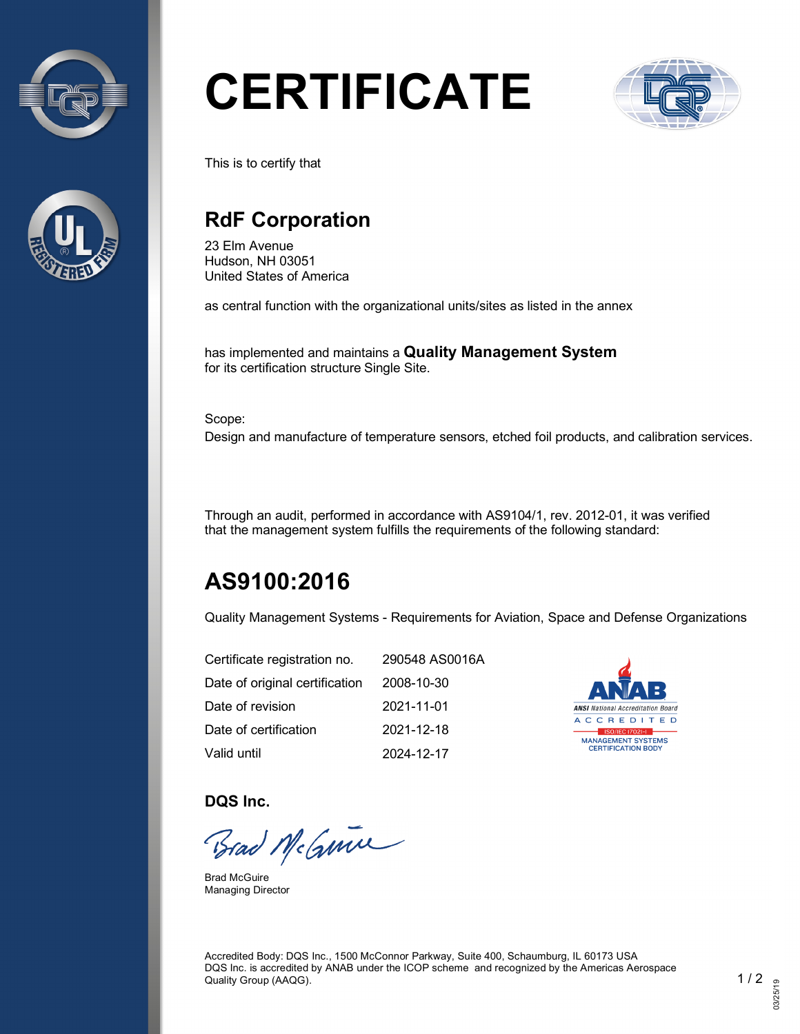



# **CERTIFICATE**



This is to certify that

## **RdF Corporation**

23 Elm Avenue Hudson, NH 03051 United States of America

as central function with the organizational units/sites as listed in the annex

has implemented and maintains a **Quality Management System** for its certification structure Single Site.

Scope:

Design and manufacture of temperature sensors, etched foil products, and calibration services.

Through an audit, performed in accordance with AS9104/1, rev. 2012-01, it was verified that the management system fulfills the requirements of the following standard:

# **AS9100:2016**

Quality Management Systems - Requirements for Aviation, Space and Defense Organizations

| Certificate registration no.   | 290548 AS0016A |
|--------------------------------|----------------|
| Date of original certification | 2008-10-30     |
| Date of revision               | 2021-11-01     |
| Date of certification          | 2021-12-18     |
| Valid until                    | 2024-12-17     |



**DQS Inc.**

Brad McGmin

Brad McGuire Managing Director

Accredited Body: DQS Inc., 1500 McConnor Parkway, Suite 400, Schaumburg, IL 60173 USA DQS Inc. is accredited by ANAB under the ICOP scheme and recognized by the Americas Aerospace Quality Group (AAQG). 1 / 2  $\sim$  1 / 2  $\sim$  1 / 2  $\sim$  1 / 2  $\sim$  1 / 2  $\sim$  1 / 2  $\sim$  1  $\sim$  1  $\sim$  2  $\sim$  1  $\sim$  2  $\sim$  1  $\sim$  2  $\sim$  1  $\sim$  2  $\sim$  1  $\sim$  2  $\sim$  1  $\sim$  2  $\sim$  2  $\sim$  1  $\sim$  2  $\sim$  2  $\sim$  2  $\sim$  2  $\sim$  2